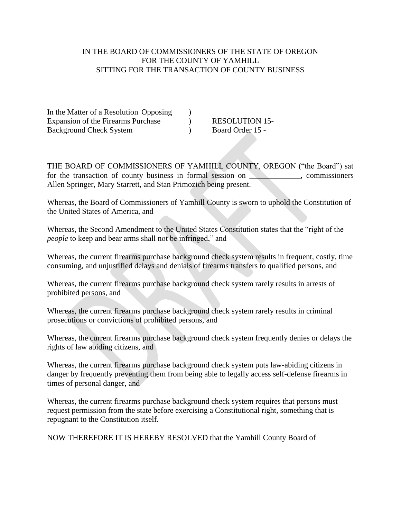## IN THE BOARD OF COMMISSIONERS OF THE STATE OF OREGON FOR THE COUNTY OF YAMHILL SITTING FOR THE TRANSACTION OF COUNTY BUSINESS

In the Matter of a Resolution Opposing ) Expansion of the Firearms Purchase  $\qquad \qquad$  RESOLUTION 15-Background Check System (b) Board Order 15 -

THE BOARD OF COMMISSIONERS OF YAMHILL COUNTY, OREGON ("the Board") sat for the transaction of county business in formal session on \_\_\_\_\_\_\_\_\_, commissioners Allen Springer, Mary Starrett, and Stan Primozich being present.

Whereas, the Board of Commissioners of Yamhill County is sworn to uphold the Constitution of the United States of America, and

Whereas, the Second Amendment to the United States Constitution states that the "right of the *people* to keep and bear arms shall not be infringed," and

Whereas, the current firearms purchase background check system results in frequent, costly, time consuming, and unjustified delays and denials of firearms transfers to qualified persons, and

Whereas, the current firearms purchase background check system rarely results in arrests of prohibited persons, and

Whereas, the current firearms purchase background check system rarely results in criminal prosecutions or convictions of prohibited persons, and

Whereas, the current firearms purchase background check system frequently denies or delays the rights of law abiding citizens, and

Whereas, the current firearms purchase background check system puts law-abiding citizens in danger by frequently preventing them from being able to legally access self-defense firearms in times of personal danger, and

Whereas, the current firearms purchase background check system requires that persons must request permission from the state before exercising a Constitutional right, something that is repugnant to the Constitution itself.

NOW THEREFORE IT IS HEREBY RESOLVED that the Yamhill County Board of